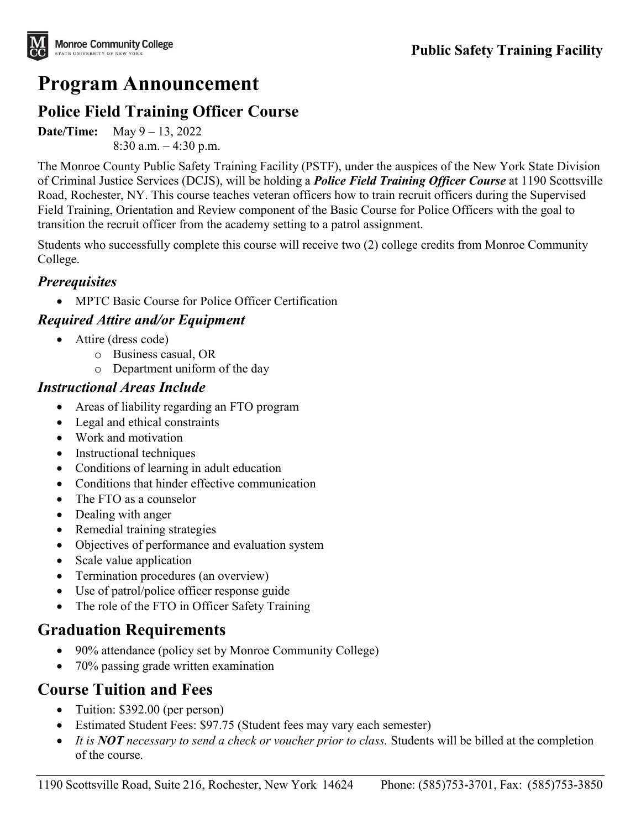

# **Program Announcement**

### **Police Field Training Officer Course**

**Date/Time:** May 9 – 13, 2022 8:30 a.m. – 4:30 p.m.

The Monroe County Public Safety Training Facility (PSTF), under the auspices of the New York State Division of Criminal Justice Services (DCJS), will be holding a *Police Field Training Officer Course* at 1190 Scottsville Road, Rochester, NY. This course teaches veteran officers how to train recruit officers during the Supervised Field Training, Orientation and Review component of the Basic Course for Police Officers with the goal to transition the recruit officer from the academy setting to a patrol assignment.

Students who successfully complete this course will receive two (2) college credits from Monroe Community College.

#### *Prerequisites*

• MPTC Basic Course for Police Officer Certification

#### *Required Attire and/or Equipment*

- Attire (dress code)
	- o Business casual, OR
	- o Department uniform of the day

#### *Instructional Areas Include*

- Areas of liability regarding an FTO program
- Legal and ethical constraints
- Work and motivation
- Instructional techniques
- Conditions of learning in adult education
- Conditions that hinder effective communication
- The FTO as a counselor
- Dealing with anger
- Remedial training strategies
- Objectives of performance and evaluation system
- Scale value application
- Termination procedures (an overview)
- Use of patrol/police officer response guide
- The role of the FTO in Officer Safety Training

## **Graduation Requirements**

- 90% attendance (policy set by Monroe Community College)
- 70% passing grade written examination

## **Course Tuition and Fees**

- Tuition: \$392.00 (per person)
- Estimated Student Fees: \$97.75 (Student fees may vary each semester)
- *It is NOT necessary to send a check or voucher prior to class.* Students will be billed at the completion of the course.